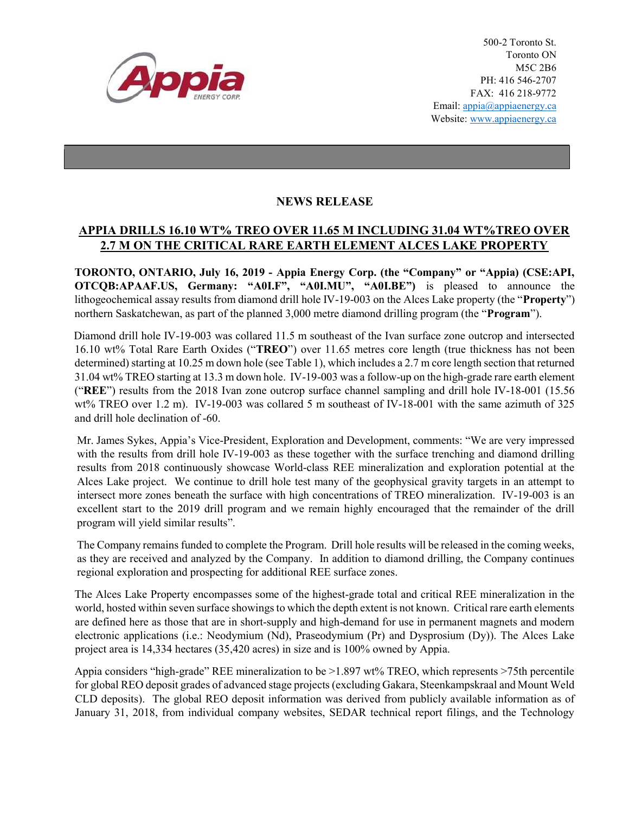

500-2 Toronto St. Toronto ON M5C 2B6 PH: 416 546-2707 FAX: 416 218-9772 Email: appia@appiaenergy.ca Website: www.appiaenergy.ca

## NEWS RELEASE

## APPIA DRILLS 16.10 WT% TREO OVER 11.65 M INCLUDING 31.04 WT%TREO OVER 2.7 M ON THE CRITICAL RARE EARTH ELEMENT ALCES LAKE PROPERTY

TORONTO, ONTARIO, July 16, 2019 - Appia Energy Corp. (the "Company" or "Appia) (CSE:API, OTCQB:APAAF.US, Germany: "A0I.F", "A0I.MU", "A0I.BE") is pleased to announce the lithogeochemical assay results from diamond drill hole IV-19-003 on the Alces Lake property (the "Property") northern Saskatchewan, as part of the planned 3,000 metre diamond drilling program (the "**Program**").

Diamond drill hole IV-19-003 was collared 11.5 m southeast of the Ivan surface zone outcrop and intersected 16.10 wt% Total Rare Earth Oxides ("TREO") over 11.65 metres core length (true thickness has not been determined) starting at 10.25 m down hole (see Table 1), which includes a 2.7 m core length section that returned 31.04 wt% TREO starting at 13.3 m down hole. IV-19-003 was a follow-up on the high-grade rare earth element ("REE") results from the 2018 Ivan zone outcrop surface channel sampling and drill hole IV-18-001 (15.56 wt% TREO over 1.2 m). IV-19-003 was collared 5 m southeast of IV-18-001 with the same azimuth of 325 and drill hole declination of -60.

Mr. James Sykes, Appia's Vice-President, Exploration and Development, comments: "We are very impressed with the results from drill hole IV-19-003 as these together with the surface trenching and diamond drilling results from 2018 continuously showcase World-class REE mineralization and exploration potential at the Alces Lake project. We continue to drill hole test many of the geophysical gravity targets in an attempt to intersect more zones beneath the surface with high concentrations of TREO mineralization. IV-19-003 is an excellent start to the 2019 drill program and we remain highly encouraged that the remainder of the drill program will yield similar results".

The Company remains funded to complete the Program. Drill hole results will be released in the coming weeks, as they are received and analyzed by the Company. In addition to diamond drilling, the Company continues regional exploration and prospecting for additional REE surface zones.

The Alces Lake Property encompasses some of the highest-grade total and critical REE mineralization in the world, hosted within seven surface showings to which the depth extent is not known. Critical rare earth elements are defined here as those that are in short-supply and high-demand for use in permanent magnets and modern electronic applications (i.e.: Neodymium (Nd), Praseodymium (Pr) and Dysprosium (Dy)). The Alces Lake project area is 14,334 hectares (35,420 acres) in size and is 100% owned by Appia.

Appia considers "high-grade" REE mineralization to be >1.897 wt% TREO, which represents >75th percentile for global REO deposit grades of advanced stage projects (excluding Gakara, Steenkampskraal and Mount Weld CLD deposits). The global REO deposit information was derived from publicly available information as of January 31, 2018, from individual company websites, SEDAR technical report filings, and the Technology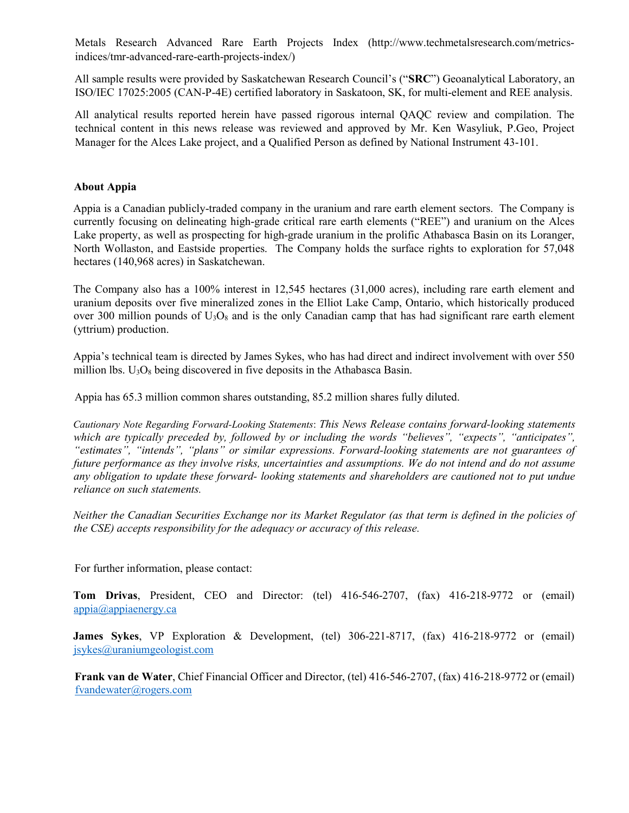Metals Research Advanced Rare Earth Projects Index (http://www.techmetalsresearch.com/metricsindices/tmr-advanced-rare-earth-projects-index/)

All sample results were provided by Saskatchewan Research Council's ("SRC") Geoanalytical Laboratory, an ISO/IEC 17025:2005 (CAN-P-4E) certified laboratory in Saskatoon, SK, for multi-element and REE analysis.

All analytical results reported herein have passed rigorous internal QAQC review and compilation. The technical content in this news release was reviewed and approved by Mr. Ken Wasyliuk, P.Geo, Project Manager for the Alces Lake project, and a Qualified Person as defined by National Instrument 43-101.

## About Appia

Appia is a Canadian publicly-traded company in the uranium and rare earth element sectors. The Company is currently focusing on delineating high-grade critical rare earth elements ("REE") and uranium on the Alces Lake property, as well as prospecting for high-grade uranium in the prolific Athabasca Basin on its Loranger, North Wollaston, and Eastside properties. The Company holds the surface rights to exploration for 57,048 hectares (140,968 acres) in Saskatchewan.

The Company also has a 100% interest in 12,545 hectares (31,000 acres), including rare earth element and uranium deposits over five mineralized zones in the Elliot Lake Camp, Ontario, which historically produced over 300 million pounds of  $U_3O_8$  and is the only Canadian camp that has had significant rare earth element (yttrium) production.

Appia's technical team is directed by James Sykes, who has had direct and indirect involvement with over 550 million lbs.  $U_3O_8$  being discovered in five deposits in the Athabasca Basin.

Appia has 65.3 million common shares outstanding, 85.2 million shares fully diluted.

Cautionary Note Regarding Forward-Looking Statements: This News Release contains forward-looking statements which are typically preceded by, followed by or including the words "believes", "expects", "anticipates", "estimates", "intends", "plans" or similar expressions. Forward-looking statements are not guarantees of future performance as they involve risks, uncertainties and assumptions. We do not intend and do not assume any obligation to update these forward- looking statements and shareholders are cautioned not to put undue reliance on such statements.

Neither the Canadian Securities Exchange nor its Market Regulator (as that term is defined in the policies of the CSE) accepts responsibility for the adequacy or accuracy of this release.

For further information, please contact:

Tom Drivas, President, CEO and Director: (tel) 416-546-2707, (fax) 416-218-9772 or (email) appia@appiaenergy.ca

James Sykes, VP Exploration & Development, (tel) 306-221-8717, (fax) 416-218-9772 or (email) jsykes@uraniumgeologist.com

Frank van de Water, Chief Financial Officer and Director, (tel) 416-546-2707, (fax) 416-218-9772 or (email) fvandewater@rogers.com